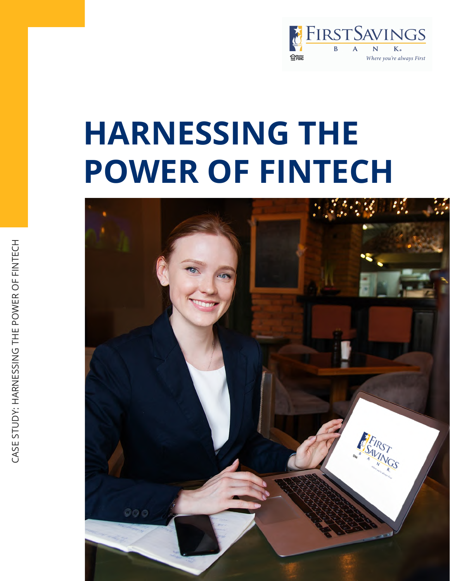

## **HARNESSING THE**

# **POWER OF FINTECH**



 $\geqslant$ E R O LL.  $\frac{Z}{\Box}$  $\vdash$ ш,  $\bigcup$ H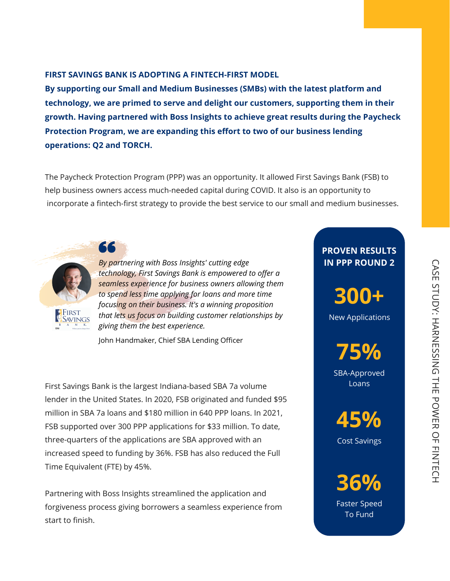The Paycheck Protection Program (PPP) was an opportunity. It allowed First Savings Bank (FSB) to help business owners access much-needed capital during COVID. It also is an opportunity to incorporate a fintech-first strategy to provide the best service to our small and medium businesses.

## **FIRST SAVINGS BANK IS ADOPTING A FINTECH-FIRST MODEL**



**AFIRST** 

 $\bigcap$ 

**By supporting our Small and Medium Businesses (SMBs) with the latest platform and technology, we are primed to serve and delight our customers, supporting them in their growth. Having partnered with Boss Insights to achieve great results during the Paycheck Protection Program, we are expanding this effort to two of our business lending operations: Q2 and TORCH.**



#### New Applications

## **PROVEN RESULTS IN PPP ROUND 2**

**75%**

SBA-Approved Loans

**45%**

Cost Savings

工

*By partnering with Boss Insights' cutting edge technology, First Savings Bank is empowered to offer a seamless experience for business owners allowing them to spend less time applying for loans and more time focusing on their business. It's a winning proposition that lets us focus on building customer relationships by*

*giving them the best experience.*

John Handmaker, Chief SBA Lending Officer

First Savings Bank is the largest Indiana-based SBA 7a volume lender in the United States. In 2020, FSB originated and funded \$95 million in SBA 7a loans and \$180 million in 640 PPP loans. In 2021, FSB supported over 300 PPP applications for \$33 million. To date, three-quarters of the applications are SBA approved with an increased speed to funding by 36%. FSB has also reduced the Full Time Equivalent (FTE) by 45%.

Partnering with Boss Insights streamlined the application and forgiveness process giving borrowers a seamless experience from start to finish.